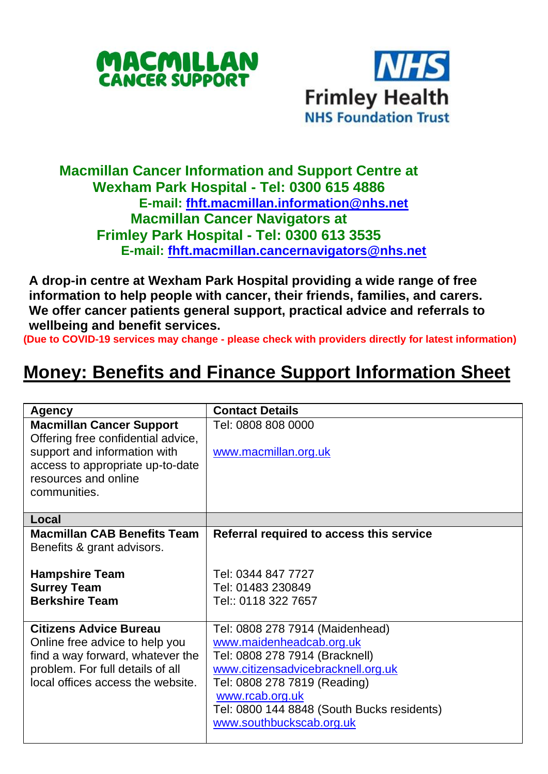



## **Macmillan Cancer Information and Support Centre at Wexham Park Hospital - Tel: 0300 615 4886 E-mail: [fhft.macmillan.information@nhs.net](mailto:fhft.macmillan.information@nhs.net) Macmillan Cancer Navigators at Frimley Park Hospital - Tel: 0300 613 3535 E-mail: [fhft.macmillan.cancernavigators@nhs.net](mailto:fhft.macmillan.cancernavigators@nhs.net)**

**A drop-in centre at Wexham Park Hospital providing a wide range of free information to help people with cancer, their friends, families, and carers. We offer cancer patients general support, practical advice and referrals to wellbeing and benefit services.**

**(Due to COVID-19 services may change - please check with providers directly for latest information)**

## **Money: Benefits and Finance Support Information Sheet**

| Agency                                                                                                                                                                            | <b>Contact Details</b>                                                                                                                                                                                                                                           |
|-----------------------------------------------------------------------------------------------------------------------------------------------------------------------------------|------------------------------------------------------------------------------------------------------------------------------------------------------------------------------------------------------------------------------------------------------------------|
| <b>Macmillan Cancer Support</b><br>Offering free confidential advice,<br>support and information with<br>access to appropriate up-to-date<br>resources and online<br>communities. | Tel: 0808 808 0000<br>www.macmillan.org.uk                                                                                                                                                                                                                       |
| Local                                                                                                                                                                             |                                                                                                                                                                                                                                                                  |
| <b>Macmillan CAB Benefits Team</b><br>Benefits & grant advisors.                                                                                                                  | Referral required to access this service                                                                                                                                                                                                                         |
| <b>Hampshire Team</b><br><b>Surrey Team</b><br><b>Berkshire Team</b>                                                                                                              | Tel: 0344 847 7727<br>Tel: 01483 230849<br>Tel:: 0118 322 7657                                                                                                                                                                                                   |
| <b>Citizens Advice Bureau</b><br>Online free advice to help you<br>find a way forward, whatever the<br>problem. For full details of all<br>local offices access the website.      | Tel: 0808 278 7914 (Maidenhead)<br>www.maidenheadcab.org.uk<br>Tel: 0808 278 7914 (Bracknell)<br>www.citizensadvicebracknell.org.uk<br>Tel: 0808 278 7819 (Reading)<br>www.rcab.org.uk<br>Tel: 0800 144 8848 (South Bucks residents)<br>www.southbuckscab.org.uk |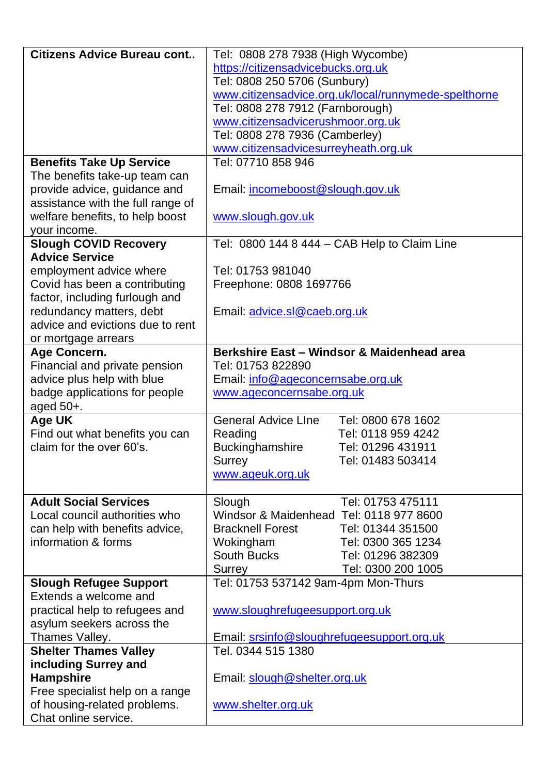| Citizens Advice Bureau cont         | Tel: 0808 278 7938 (High Wycombe)                    |  |  |  |
|-------------------------------------|------------------------------------------------------|--|--|--|
|                                     | https://citizensadvicebucks.org.uk                   |  |  |  |
|                                     | Tel: 0808 250 5706 (Sunbury)                         |  |  |  |
|                                     | www.citizensadvice.org.uk/local/runnymede-spelthorne |  |  |  |
|                                     | Tel: 0808 278 7912 (Farnborough)                     |  |  |  |
|                                     | www.citizensadvicerushmoor.org.uk                    |  |  |  |
|                                     | Tel: 0808 278 7936 (Camberley)                       |  |  |  |
|                                     | www.citizensadvicesurreyheath.org.uk                 |  |  |  |
| <b>Benefits Take Up Service</b>     | Tel: 07710 858 946                                   |  |  |  |
| The benefits take-up team can       |                                                      |  |  |  |
| provide advice, guidance and        | Email: incomeboost@slough.gov.uk                     |  |  |  |
| assistance with the full range of   |                                                      |  |  |  |
| welfare benefits, to help boost     | www.slough.gov.uk                                    |  |  |  |
| your income.                        |                                                      |  |  |  |
| <b>Slough COVID Recovery</b>        | Tel: 0800 144 8 444 - CAB Help to Claim Line         |  |  |  |
| <b>Advice Service</b>               |                                                      |  |  |  |
| employment advice where             | Tel: 01753 981040                                    |  |  |  |
| Covid has been a contributing       | Freephone: 0808 1697766                              |  |  |  |
| factor, including furlough and      |                                                      |  |  |  |
| redundancy matters, debt            | Email: advice.sl@caeb.org.uk                         |  |  |  |
| advice and evictions due to rent    |                                                      |  |  |  |
| or mortgage arrears<br>Age Concern. | Berkshire East - Windsor & Maidenhead area           |  |  |  |
| Financial and private pension       | Tel: 01753 822890                                    |  |  |  |
| advice plus help with blue          | Email: info@ageconcernsabe.org.uk                    |  |  |  |
| badge applications for people       | www.ageconcernsabe.org.uk                            |  |  |  |
| aged 50+.                           |                                                      |  |  |  |
| Age UK                              | General Advice Line<br>Tel: 0800 678 1602            |  |  |  |
| Find out what benefits you can      | Reading<br>Tel: 0118 959 4242                        |  |  |  |
| claim for the over 60's.            | Buckinghamshire<br>Tel: 01296 431911                 |  |  |  |
|                                     | Surrey<br>Tel: 01483 503414                          |  |  |  |
|                                     | www.ageuk.org.uk                                     |  |  |  |
|                                     |                                                      |  |  |  |
| <b>Adult Social Services</b>        | Tel: 01753 475111<br>Slough                          |  |  |  |
| Local council authorities who       | Windsor & Maidenhead Tel: 0118 977 8600              |  |  |  |
| can help with benefits advice,      | Tel: 01344 351500<br><b>Bracknell Forest</b>         |  |  |  |
| information & forms                 | Wokingham<br>Tel: 0300 365 1234                      |  |  |  |
|                                     | South Bucks<br>Tel: 01296 382309                     |  |  |  |
|                                     | Tel: 0300 200 1005<br>Surrey                         |  |  |  |
| <b>Slough Refugee Support</b>       | Tel: 01753 537142 9am-4pm Mon-Thurs                  |  |  |  |
| Extends a welcome and               |                                                      |  |  |  |
| practical help to refugees and      | www.sloughrefugeesupport.org.uk                      |  |  |  |
| asylum seekers across the           |                                                      |  |  |  |
| Thames Valley.                      | Email: srsinfo@sloughrefugeesupport.org.uk           |  |  |  |
| <b>Shelter Thames Valley</b>        | Tel. 0344 515 1380                                   |  |  |  |
| including Surrey and                |                                                      |  |  |  |
| Hampshire                           | Email: slough@shelter.org.uk                         |  |  |  |
| Free specialist help on a range     |                                                      |  |  |  |
| of housing-related problems.        | www.shelter.org.uk                                   |  |  |  |
| Chat online service.                |                                                      |  |  |  |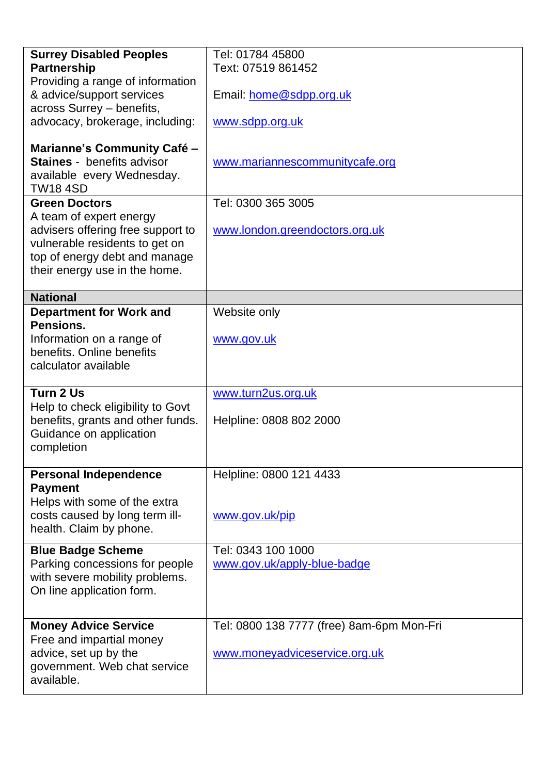| <b>Surrey Disabled Peoples</b>                            | Tel: 01784 45800                          |  |  |  |
|-----------------------------------------------------------|-------------------------------------------|--|--|--|
| Partnership                                               | Text: 07519 861452                        |  |  |  |
| Providing a range of information                          |                                           |  |  |  |
| & advice/support services                                 |                                           |  |  |  |
| across Surrey - benefits,                                 | Email: home@sdpp.org.uk                   |  |  |  |
|                                                           |                                           |  |  |  |
| advocacy, brokerage, including:                           | www.sdpp.org.uk                           |  |  |  |
|                                                           |                                           |  |  |  |
| Marianne's Community Café -<br>Staines - benefits advisor |                                           |  |  |  |
|                                                           | www.mariannescommunitycafe.org            |  |  |  |
| available every Wednesday.                                |                                           |  |  |  |
| <b>TW18 4SD</b>                                           |                                           |  |  |  |
| <b>Green Doctors</b>                                      | Tel: 0300 365 3005                        |  |  |  |
| A team of expert energy                                   |                                           |  |  |  |
| advisers offering free support to                         | www.london.greendoctors.org.uk            |  |  |  |
| vulnerable residents to get on                            |                                           |  |  |  |
| top of energy debt and manage                             |                                           |  |  |  |
| their energy use in the home.                             |                                           |  |  |  |
|                                                           |                                           |  |  |  |
| <b>National</b>                                           |                                           |  |  |  |
| <b>Department for Work and</b>                            | Website only                              |  |  |  |
| Pensions.                                                 |                                           |  |  |  |
| Information on a range of                                 | www.gov.uk                                |  |  |  |
| benefits. Online benefits                                 |                                           |  |  |  |
| calculator available                                      |                                           |  |  |  |
|                                                           |                                           |  |  |  |
| Turn 2 Us                                                 | www.turn2us.org.uk                        |  |  |  |
| Help to check eligibility to Govt                         |                                           |  |  |  |
| benefits, grants and other funds.                         | Helpline: 0808 802 2000                   |  |  |  |
| Guidance on application                                   |                                           |  |  |  |
| completion                                                |                                           |  |  |  |
|                                                           |                                           |  |  |  |
| <b>Personal Independence</b>                              | Helpline: 0800 121 4433                   |  |  |  |
| <b>Payment</b>                                            |                                           |  |  |  |
| Helps with some of the extra                              |                                           |  |  |  |
| costs caused by long term ill-                            | www.gov.uk/pip                            |  |  |  |
| health. Claim by phone.                                   |                                           |  |  |  |
|                                                           |                                           |  |  |  |
| <b>Blue Badge Scheme</b>                                  | Tel: 0343 100 1000                        |  |  |  |
| Parking concessions for people                            | www.gov.uk/apply-blue-badge               |  |  |  |
| with severe mobility problems.                            |                                           |  |  |  |
| On line application form.                                 |                                           |  |  |  |
|                                                           |                                           |  |  |  |
|                                                           |                                           |  |  |  |
| <b>Money Advice Service</b>                               | Tel: 0800 138 7777 (free) 8am-6pm Mon-Fri |  |  |  |
| Free and impartial money                                  |                                           |  |  |  |
| advice, set up by the                                     | www.moneyadviceservice.org.uk             |  |  |  |
| government. Web chat service                              |                                           |  |  |  |
| available.                                                |                                           |  |  |  |
|                                                           |                                           |  |  |  |